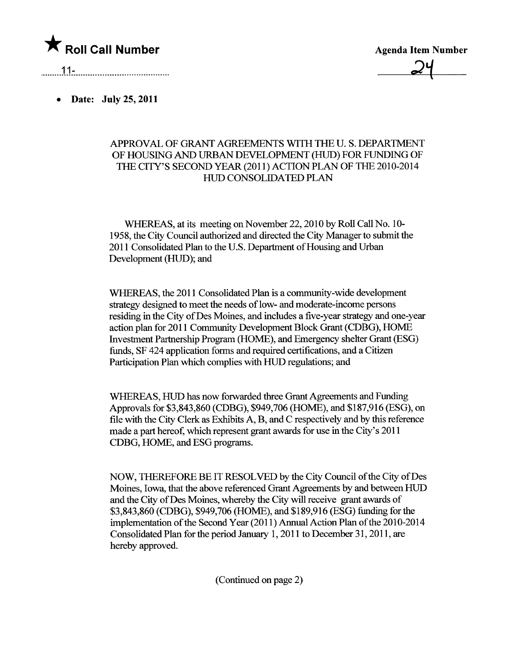

Agenda Item Number  $24$ 

11- .....\_-\_.\_------\_...\_-\_.\_\_.\_-----\_...............\_--\_.

. Date: July 25, 2011

## APPROVAL OF GRANT AGREEMENTS WITH THE U.S. DEPARTMENT OF HOUSING AND URBAN DEVELOPMENT (HUD) FOR FUNDING OF THE CITY'S SECOND YEAR (2011) ACTION PLAN OF THE 2010-2014 HUD CONSOLIDATED PLAN

WHEREAS, at its meeting on November 22, 2010 by Roll Call No. 10-1958, the City Council authorized and directed the City Manager to submit the 2011 Consolidated Plan to the U.S. Department of Housing and Urban Development (HUD); and

WHEREAS, the 2011 Consolidated Plan is a community-wide development strategy designed to meet the needs of low- and moderate-income persons residing in the City of Des Moines, and includes a five-year strategy and one-year action plan for 2011 Communty Development Block Grant (CDBG), HOME Investment Partnership Program (HOME), and Emergency shelter Grant (ESG) fuds, SF 424 application forms and requied certifcations, and a Citizen Participation Plan which complies with HUD regulations; and

WHEREAS, HUD has now forwarded three Grant Agreements and Funding Approvals for \$3,843,860 (CDBG), \$949,706 (HOME), and \$187,916 (ESG), on file with the City Clerk as Exhibits A, B, and C respectively and by this reference made a part hereof, which represent grant awards for use in the City's 2011 CDBG, HOME, and ESG programs.

NOW, THREFORE BE IT RESOLVED by the City Council of the City of Des Moines, Iowa, that the above referenced Grant Agreements by and between HUD and the City of Des Moines, whereby the City will receive grant awards of \$3,843,860 (CDBG), \$949,706 (HOME), and \$189,916 (ESG) fuding for the implementation of the Second Year (2011) Anual Action Plan of the 2010-2014 Consolidated Plan for the period January 1, 2011 to December 31, 2011, are hereby approved.

(Continued on page 2)